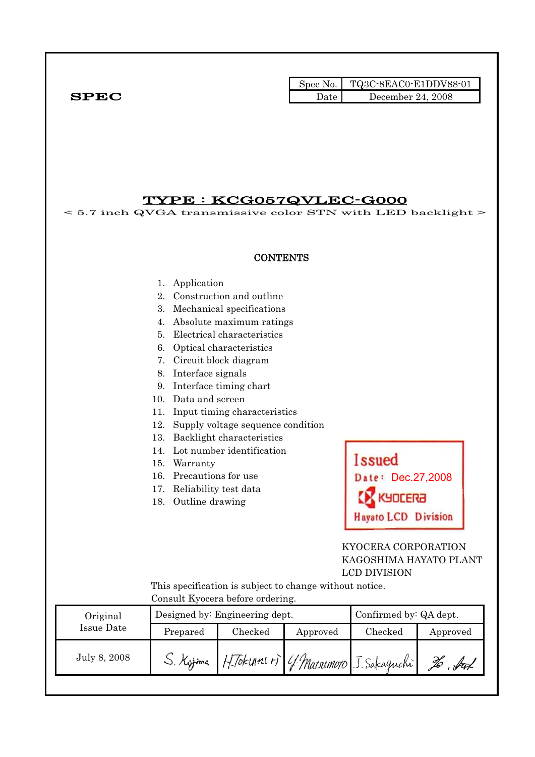|              | Spec No. | $\blacksquare$ TQ3C-8EAC0-E1DDV88-01 |
|--------------|----------|--------------------------------------|
| ${\bf SPEC}$ | Date     | December 24, 2008                    |

### TYPE : KCG057QVLEC-G000

< 5.7 inch QVGA transmissive color STN with LED backlight >

#### **CONTENTS**

- 1. Application
- 2. Construction and outline
- 3. Mechanical specifications
- 4. Absolute maximum ratings
- 5. Electrical characteristics
- 6. Optical characteristics
- 7. Circuit block diagram
- 8. Interface signals
- 9. Interface timing chart
- 10. Data and screen
- 11. Input timing characteristics
- 12. Supply voltage sequence condition
- 13. Backlight characteristics
- 14. Lot number identification
- 15. Warranty
- 16. Precautions for use
- 17. Reliability test data
- 18. Outline drawing



### KYOCERA CORPORATION KAGOSHIMA HAYATO PLANT LCD DIVISION

 This specification is subject to change without notice. Consult Kyocera before ordering.

| Original     |           | Designed by: Engineering dept.         | Confirmed by: QA dept. |         |          |
|--------------|-----------|----------------------------------------|------------------------|---------|----------|
| Issue Date   | Prepared  | Checked                                | Approved               | Checked | Approved |
| July 8, 2008 | S. Kytima | H. Tokune +) 4. Marsemoro J. Sakaguchi |                        |         | . Ital   |
|              |           |                                        |                        |         |          |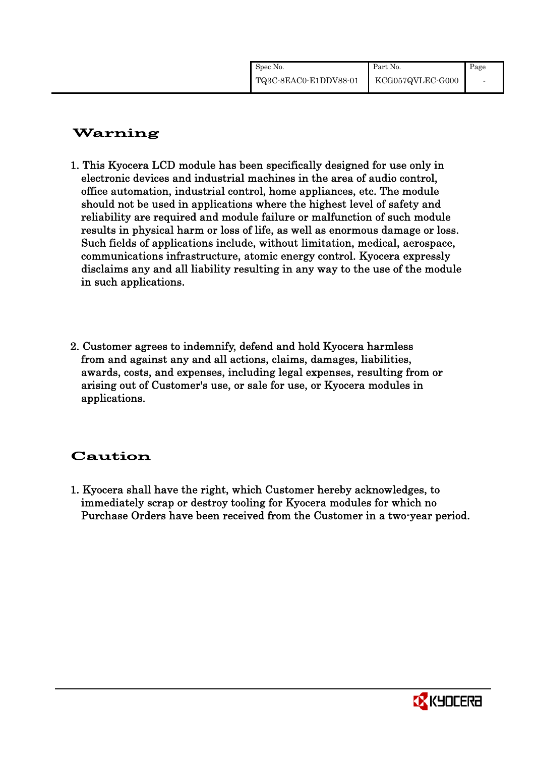| Spec No.              | Part No.         | Page |
|-----------------------|------------------|------|
| TQ3C-8EAC0-E1DDV88-01 | KCG057QVLEC-G000 |      |

# Warning

- 1. This Kyocera LCD module has been specifically designed for use only in electronic devices and industrial machines in the area of audio control, office automation, industrial control, home appliances, etc. The module should not be used in applications where the highest level of safety and reliability are required and module failure or malfunction of such module results in physical harm or loss of life, as well as enormous damage or loss. Such fields of applications include, without limitation, medical, aerospace, communications infrastructure, atomic energy control. Kyocera expressly disclaims any and all liability resulting in any way to the use of the module in such applications.
- 2. Customer agrees to indemnify, defend and hold Kyocera harmless from and against any and all actions, claims, damages, liabilities, awards, costs, and expenses, including legal expenses, resulting from or arising out of Customer's use, or sale for use, or Kyocera modules in applications.

# Caution

1. Kyocera shall have the right, which Customer hereby acknowledges, to immediately scrap or destroy tooling for Kyocera modules for which no Purchase Orders have been received from the Customer in a two-year period.

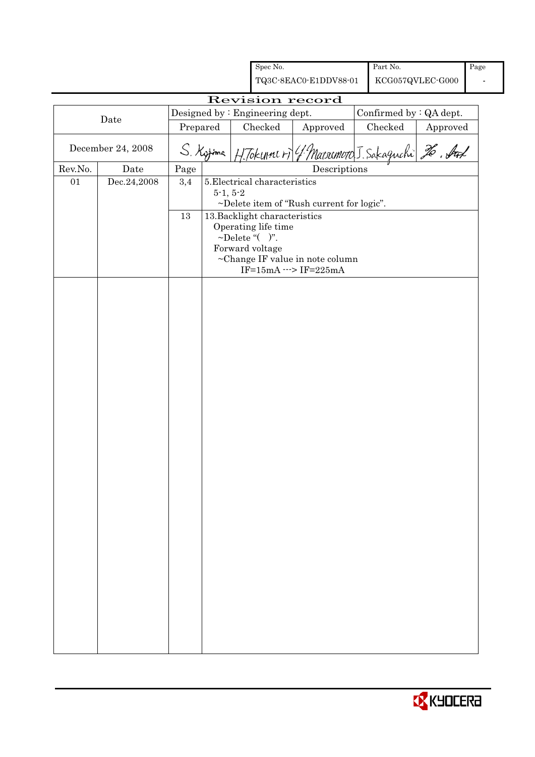|         |                   |          |            | Spec No.                                   |                                                                | Part No.                |          | Page |
|---------|-------------------|----------|------------|--------------------------------------------|----------------------------------------------------------------|-------------------------|----------|------|
|         |                   |          |            |                                            | TQ3C-8EAC0-E1DDV88-01                                          | KCG057QVLEC-G000        |          |      |
|         |                   |          |            |                                            | Revision record                                                |                         |          |      |
|         | Date              |          |            | Designed by : Engineering dept.            |                                                                | Confirmed by : QA dept. |          |      |
|         |                   | Prepared |            | Checked                                    | Approved                                                       | Checked                 | Approved |      |
|         | December 24, 2008 |          | S. Kyjma   |                                            | H. Tokunners 4 Marsonoro J. Sakaguchi 26. Auf                  |                         |          |      |
| Rev.No. | Date              | Page     |            |                                            | Descriptions                                                   |                         |          |      |
| 01      | Dec.24,2008       | 3,4      | $5-1, 5-2$ | 5. Electrical characteristics              |                                                                |                         |          |      |
|         |                   |          |            |                                            | ~Delete item of "Rush current for logic".                      |                         |          |      |
|         |                   | 13       |            | 13. Backlight characteristics              |                                                                |                         |          |      |
|         |                   |          |            | Operating life time<br>$\sim$ Delete "()". |                                                                |                         |          |      |
|         |                   |          |            | Forward voltage                            |                                                                |                         |          |      |
|         |                   |          |            |                                            | ~Change IF value in note column<br>$IF=15mA \cdots > IF=225mA$ |                         |          |      |
|         |                   |          |            |                                            |                                                                |                         |          |      |
|         |                   |          |            |                                            |                                                                |                         |          |      |
|         |                   |          |            |                                            |                                                                |                         |          |      |
|         |                   |          |            |                                            |                                                                |                         |          |      |
|         |                   |          |            |                                            |                                                                |                         |          |      |
|         |                   |          |            |                                            |                                                                |                         |          |      |
|         |                   |          |            |                                            |                                                                |                         |          |      |
|         |                   |          |            |                                            |                                                                |                         |          |      |
|         |                   |          |            |                                            |                                                                |                         |          |      |
|         |                   |          |            |                                            |                                                                |                         |          |      |
|         |                   |          |            |                                            |                                                                |                         |          |      |
|         |                   |          |            |                                            |                                                                |                         |          |      |
|         |                   |          |            |                                            |                                                                |                         |          |      |
|         |                   |          |            |                                            |                                                                |                         |          |      |
|         |                   |          |            |                                            |                                                                |                         |          |      |
|         |                   |          |            |                                            |                                                                |                         |          |      |
|         |                   |          |            |                                            |                                                                |                         |          |      |
|         |                   |          |            |                                            |                                                                |                         |          |      |
|         |                   |          |            |                                            |                                                                |                         |          |      |
|         |                   |          |            |                                            |                                                                |                         |          |      |
|         |                   |          |            |                                            |                                                                |                         |          |      |
|         |                   |          |            |                                            |                                                                |                         |          |      |
|         |                   |          |            |                                            |                                                                |                         |          |      |
|         |                   |          |            |                                            |                                                                |                         |          |      |
|         |                   |          |            |                                            |                                                                |                         |          |      |
|         |                   |          |            |                                            |                                                                |                         |          |      |

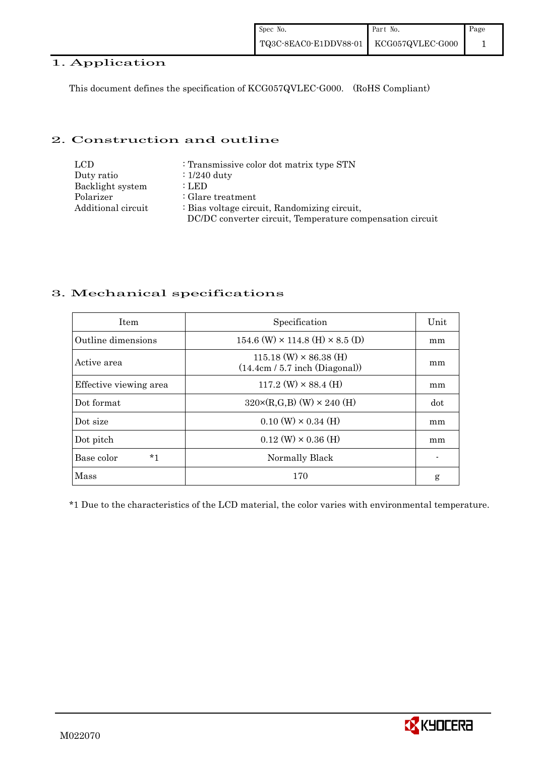## 1. Application

This document defines the specification of KCG057QVLEC-G000. (RoHS Compliant)

#### 2. Construction and outline

| LCD.               | : Transmissive color dot matrix type STN                  |
|--------------------|-----------------------------------------------------------|
| Duty ratio         | $\therefore$ 1/240 duty                                   |
| Backlight system   | : LED                                                     |
| Polarizer          | : Glare treatment                                         |
| Additional circuit | : Bias voltage circuit, Randomizing circuit,              |
|                    | DC/DC converter circuit, Temperature compensation circuit |

## 3. Mechanical specifications

| <b>Item</b>            | Specification                                                     | Unit |
|------------------------|-------------------------------------------------------------------|------|
| Outline dimensions     | $154.6$ (W) $\times$ 114.8 (H) $\times$ 8.5 (D)                   | mm   |
| Active area            | $115.18$ (W) $\times$ 86.38 (H)<br>(14.4cm / 5.7 inch (Diagonal)) | mm   |
| Effective viewing area | $117.2$ (W) $\times$ 88.4 (H)                                     | mm   |
| Dot format             | $320 \times (R,G,B)$ (W) $\times 240$ (H)                         | dot  |
| Dot size               | $0.10 \text{ (W)} \times 0.34 \text{ (H)}$                        | mm   |
| Dot pitch              | $0.12$ (W) $\times$ 0.36 (H)                                      | mm   |
| $*1$<br>Base color     | Normally Black                                                    |      |
| Mass                   | 170                                                               | g    |

\*1 Due to the characteristics of the LCD material, the color varies with environmental temperature.

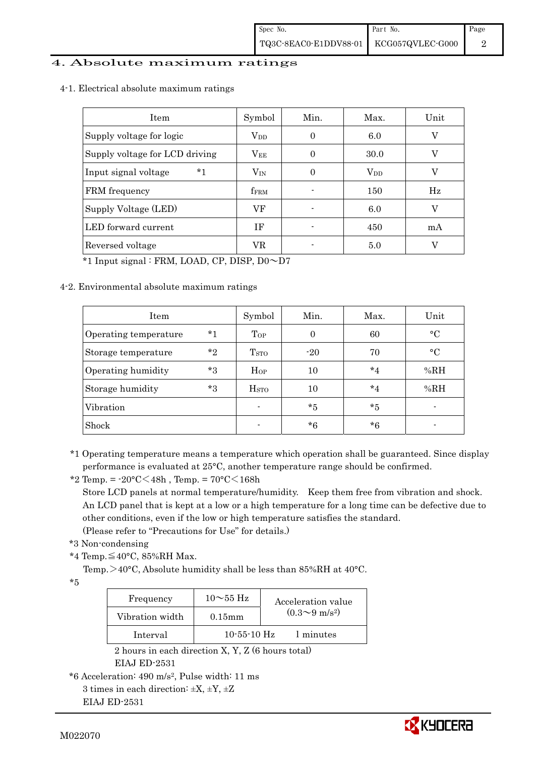#### 4. Absolute maximum ratings

4-1. Electrical absolute maximum ratings

| <b>Item</b>                     | Symbol       | Min. | Max.         | Unit |
|---------------------------------|--------------|------|--------------|------|
| Supply voltage for logic        | $\rm V_{DD}$ | 0    | 6.0          | V    |
| Supply voltage for LCD driving  | $\rm V_{EE}$ |      | 30.0         | V    |
| $*_{1}$<br>Input signal voltage | $V_{IN}$     | 0    | $\rm V_{DD}$ | V    |
| FRM frequency                   | <b>fFRM</b>  |      | 150          | Hz   |
| Supply Voltage (LED)            | VF           |      | 6.0          | V    |
| LED forward current             | ΙF           |      | 450          | mA   |
| Reversed voltage                | VR           |      | 5.0          | V    |

\*1 Input signal : FRM, LOAD, CP, DISP, D0~D7

#### 4-2. Environmental absolute maximum ratings

| Item                  |         | Symbol                   | Min.     | Max.    | Unit        |
|-----------------------|---------|--------------------------|----------|---------|-------------|
| Operating temperature | $^*1$   | Top                      | $\Omega$ | 60      | $\circ$ C   |
| Storage temperature   | $*_{2}$ | T <sub>STO</sub>         | $-20$    | 70      | $^{\circ}C$ |
| Operating humidity    | *3      | $H_{OP}$                 | 10       | $*_{4}$ | %RH         |
| Storage humidity      | $*3$    | H <sub>STO</sub>         | 10       | $*_{4}$ | %RH         |
| Vibration             |         | $\overline{\phantom{0}}$ | *5       | $*5$    |             |
| Shock                 |         | $\blacksquare$           | $*6$     | $*6$    |             |

\*1 Operating temperature means a temperature which operation shall be guaranteed. Since display performance is evaluated at 25°C, another temperature range should be confirmed.

\*2 Temp. =  $-20^{\circ}$ C $<$ 48h, Temp. =  $70^{\circ}$ C $<$ 168h Store LCD panels at normal temperature/humidity. Keep them free from vibration and shock. An LCD panel that is kept at a low or a high temperature for a long time can be defective due to other conditions, even if the low or high temperature satisfies the standard. (Please refer to "Precautions for Use" for details.)

- \*3 Non-condensing
- \*4 Temp.≦40°C, 85%RH Max.

Temp. >40°C, Absolute humidity shall be less than 85%RH at 40°C.

 $^{\star}5$ 

| Frequency       | $10\sim\!55\,\mathrm{Hz}$ | Acceleration value           |
|-----------------|---------------------------|------------------------------|
| Vibration width | $0.15$ mm                 | $(0.3 \sim 9 \text{ m/s}^2)$ |
| Interval        | $10-55-10$ Hz             | 1 minutes                    |

 2 hours in each direction X, Y, Z (6 hours total) EIAJ ED-2531

```
3 times in each direction: \pm X, \pm Y, \pm Z
```

```
 EIAJ ED-2531
```


<sup>\*6</sup> Acceleration: 490 m/s2, Pulse width: 11 ms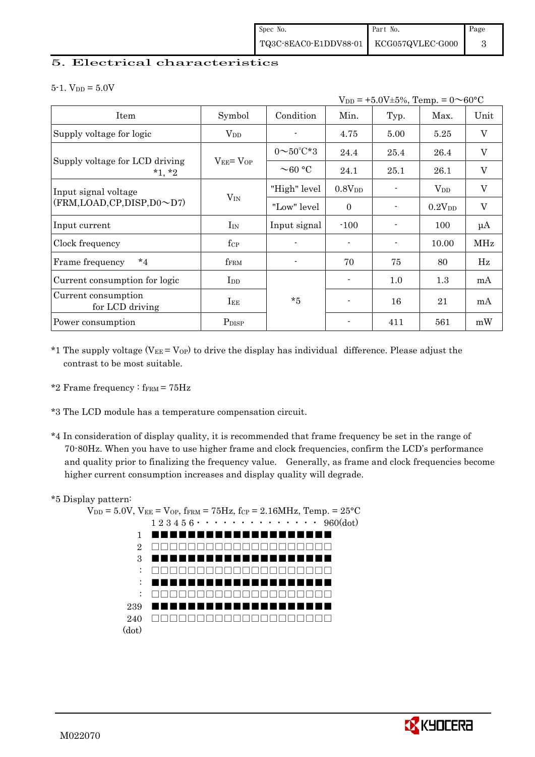#### 5. Electrical characteristics

 $5-1.$  V<sub>DD</sub> =  $5.0V$ 

| $V_{DD}$ = +5.0V±5%, Temp. = 0 $\sim$ 60°C |                                  |                         |                    |      |             |                           |
|--------------------------------------------|----------------------------------|-------------------------|--------------------|------|-------------|---------------------------|
| Item                                       | Symbol                           | Condition               | Min.               | Typ. | Max.        | Unit                      |
| Supply voltage for logic                   | $V_{DD}$                         |                         | 4.75               | 5.00 | 5.25        | $\boldsymbol{\mathrm{V}}$ |
|                                            |                                  | $0 \sim 50^{\circ}$ C*3 | 24.4               | 25.4 | 26.4        | $\mathbf V$               |
| Supply voltage for LCD driving<br>$*1, *2$ | $V_{EE} = V_{OP}$                | $\sim$ 60 °C            | 24.1               | 25.1 | 26.1        | $\mathbf V$               |
| Input signal voltage                       |                                  | "High" level            | 0.8V <sub>DD</sub> |      | $V_{DD}$    | $\boldsymbol{\mathrm{V}}$ |
| (FRM, LOAD, CP, DISP, D0~D7)               | $V_{IN}$                         | "Low" level"            | $\Omega$           |      | $0.2V_{DD}$ | $\boldsymbol{\mathrm{V}}$ |
| Input current                              | $I_{IN}$                         | Input signal            | $-100$             |      | 100         | $\mu A$                   |
| Clock frequency                            | $f_{\rm CP}$                     |                         |                    |      | 10.00       | <b>MHz</b>                |
| $*_{4}$<br>Frame frequency                 | $f_{\rm FRM}$                    |                         | 70                 | 75   | 80          | Hz                        |
| Current consumption for logic              | $\mathop{\mathrm{Ind}}\nolimits$ |                         | $\blacksquare$     | 1.0  | 1.3         | mA                        |
| Current consumption<br>for LCD driving     | $I_{EE}$                         | $*5$                    |                    | 16   | 21          | mA                        |
| Power consumption                          | P <sub>DISP</sub>                |                         |                    | 411  | 561         | mW                        |

- \*1 The supply voltage ( $V_{EE} = V_{OP}$ ) to drive the display has individual difference. Please adjust the contrast to be most suitable.
- \*2 Frame frequency :  $f_{\text{FRM}}$  = 75Hz
- \*3 The LCD module has a temperature compensation circuit.
- \*4 In consideration of display quality, it is recommended that frame frequency be set in the range of 70-80Hz. When you have to use higher frame and clock frequencies, confirm the LCD's performance and quality prior to finalizing the frequency value. Generally, as frame and clock frequencies become higher current consumption increases and display quality will degrade.

#### \*5 Display pattern:



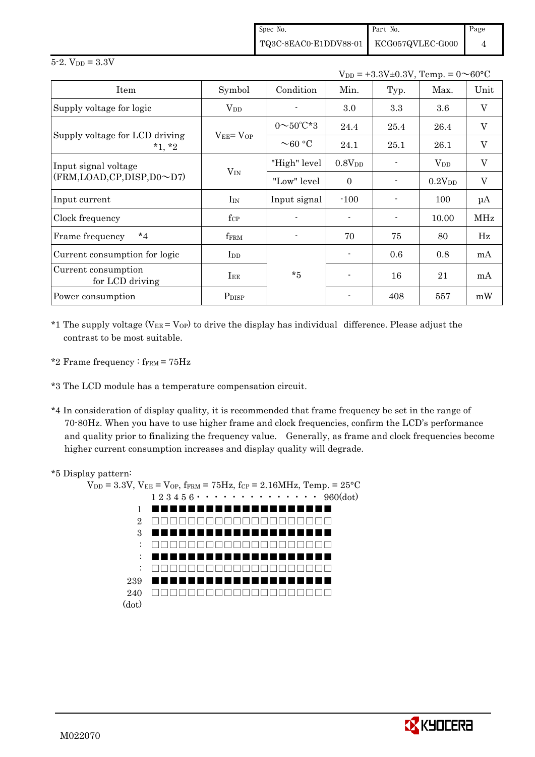| Spec No.                                                                                               | Part No. | Page |
|--------------------------------------------------------------------------------------------------------|----------|------|
| $\left. {\rm TQ3C\text{-}8EAC0\text{-}E1DDV88\text{-}01} \right  \quad \text{KCG057QVLEC\text{-}G000}$ |          |      |

| $V_{DD} = +3.3V \pm 0.3V$ , Temp. = $0 \sim 60^{\circ}C$ |                   |                         |                |                |                        |              |
|----------------------------------------------------------|-------------------|-------------------------|----------------|----------------|------------------------|--------------|
| Item                                                     | Symbol            | Condition               | Min.           | Typ.           | Max.                   | Unit         |
| Supply voltage for logic                                 | $\rm V_{DD}$      |                         | 3.0            | 3.3            | 3.6                    | $\mathbf{V}$ |
|                                                          |                   | $0 \sim 50^{\circ}$ C*3 | 24.4           | 25.4           | 26.4                   | V            |
| Supply voltage for LCD driving<br>$*1, *2$               | $V_{EE} = V_{OP}$ | $\sim$ 60 °C            | 24.1           | 25.1           | 26.1                   | $\mathbf V$  |
| Input signal voltage<br>(FRM,LOAD,CP,DISP,D0~D7)         | $V_{IN}$          | "High" level            | $0.8V_{DD}$    |                | <b>V</b> <sub>DD</sub> | $\mathbf V$  |
|                                                          |                   | "Low" level             | $\overline{0}$ |                | $0.2V_{DD}$            | $\mathbf V$  |
| Input current                                            | $I_{IN}$          | Input signal            | $-100$         |                | 100                    | $\mu A$      |
| Clock frequency                                          | $f_{\rm CP}$      |                         |                | $\blacksquare$ | 10.00                  | <b>MHz</b>   |
| $*_{4}$<br>Frame frequency                               | fFRM              |                         | 70             | 75             | 80                     | Hz           |
| Current consumption for logic                            | $_{\rm{LDD}}$     |                         |                | 0.6            | 0.8                    | mA           |
| Current consumption<br>for LCD driving                   | $I_{EE}$          | $*5$                    |                | 16             | 21                     | mA           |
| Power consumption                                        | P <sub>DISP</sub> |                         |                | 408            | 557                    | mW           |

\*1 The supply voltage ( $V_{EE} = V_{OP}$ ) to drive the display has individual difference. Please adjust the contrast to be most suitable.

\*2 Frame frequency  $:$  f<sub>FRM</sub> =  $75Hz$ 

- \*3 The LCD module has a temperature compensation circuit.
- \*4 In consideration of display quality, it is recommended that frame frequency be set in the range of 70-80Hz. When you have to use higher frame and clock frequencies, confirm the LCD's performance and quality prior to finalizing the frequency value. Generally, as frame and clock frequencies become higher current consumption increases and display quality will degrade.

#### \*5 Display pattern:

 $5 - 2.$  V<sub>DD</sub> =  $3.3V$ 



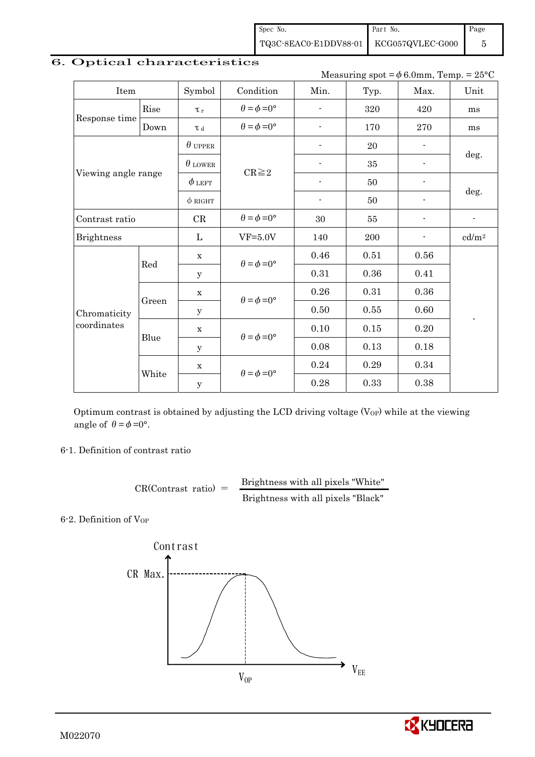|                             |       |                |                             |                          |            | Measuring spot = $\phi$ 6.0mm, Temp. = 25°C |                          |  |
|-----------------------------|-------|----------------|-----------------------------|--------------------------|------------|---------------------------------------------|--------------------------|--|
| Item                        |       | Symbol         | Condition                   | Min.                     | Typ.       | Max.                                        | Unit                     |  |
|                             | Rise  | $\tau_r$       | $\theta = \phi = 0^{\circ}$ | $\overline{\phantom{0}}$ | 320        | 420                                         | ms                       |  |
| Response time               | Down  | T d            | $\theta = \phi = 0^{\circ}$ | $\overline{\phantom{0}}$ | 170        | 270                                         | ms                       |  |
|                             |       | $\theta$ upper |                             | $\overline{a}$           | 20         |                                             |                          |  |
|                             |       | $\theta$ LOWER | $CR \geq 2$                 |                          | $35\,$     | ٠                                           | deg.                     |  |
| Viewing angle range         |       | $\phi$ left    |                             | ٠                        | 50         | $\overline{\phantom{a}}$                    |                          |  |
|                             |       | $\phi$ RIGHT   |                             | ٠                        | 50         | $\overline{\phantom{0}}$                    | deg.                     |  |
| Contrast ratio              |       | CR             | $\theta = \phi = 0^{\circ}$ | 30                       | 55         | $\overline{\phantom{0}}$                    | $\overline{\phantom{a}}$ |  |
| <b>Brightness</b>           |       | $\mathbf{L}$   | $VF=5.0V$                   | 140                      | 200        | ۰                                           | cd/m <sup>2</sup>        |  |
|                             |       | $\mathbf X$    |                             | 0.46                     | 0.51       | 0.56                                        |                          |  |
|                             | Red   | y              | $\theta = \phi = 0^{\circ}$ | 0.31                     | 0.36       | 0.41                                        |                          |  |
|                             |       | $\mathbf X$    | $\theta = \phi = 0^{\circ}$ | 0.26                     | 0.31       | 0.36                                        |                          |  |
| Chromaticity<br>coordinates | Green | y              |                             | $0.50\,$                 | $\,0.55\,$ | 0.60                                        |                          |  |
|                             |       | $\mathbf X$    | $\theta = \phi = 0^{\circ}$ | $0.10\,$                 | $0.15\,$   | $0.20\,$                                    |                          |  |
|                             | Blue  | У              |                             | 0.08                     | 0.13       | 0.18                                        |                          |  |
|                             |       | $\mathbf X$    |                             | 0.24                     | 0.29       | 0.34                                        |                          |  |
|                             | White | y              | $\theta = \phi = 0^{\circ}$ | 0.28                     | 0.33       | 0.38                                        |                          |  |

## 6. Optical characteristics

Optimum contrast is obtained by adjusting the LCD driving voltage  $(V<sub>OP</sub>)$  while at the viewing angle of  $\theta = \phi = 0^{\circ}$ .

6-1. Definition of contrast ratio

 $CR(Contrast ratio) =$  Brightness with all pixels "White" Brightness with all pixels "Black"

6-2. Definition of VOP



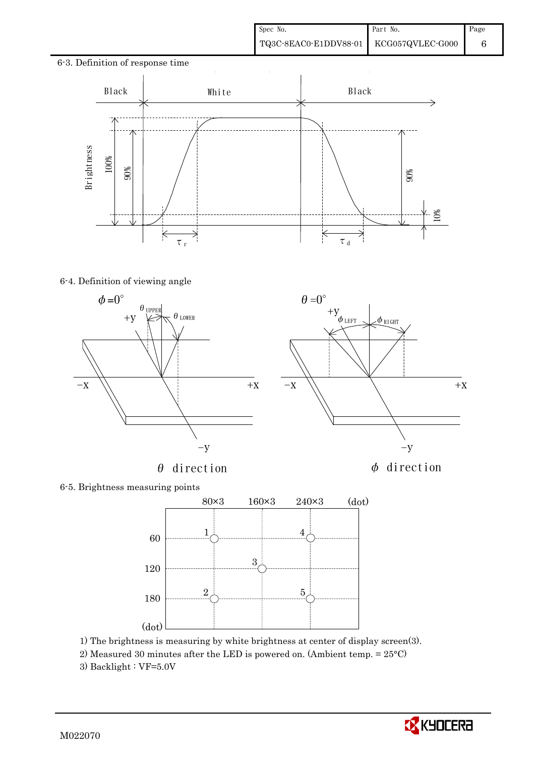## 6-3. Definition of response time Black | White | Black **Brightness** 100% 90% 90% 10%  $\overline{\mathbf{K}}$ Ķ Ř ₹  $\tau$ <sub>r</sub>  $\tau$ <sub>d</sub>

#### 6-4. Definition of viewing angle



 $\theta$  direction  $\phi$  direction



6-5. Brightness measuring points



- 1) The brightness is measuring by white brightness at center of display screen(3).
- 2) Measured 30 minutes after the LED is powered on. (Ambient temp. = 25°C)
- 3) Backlight :  $VF=5.0V$

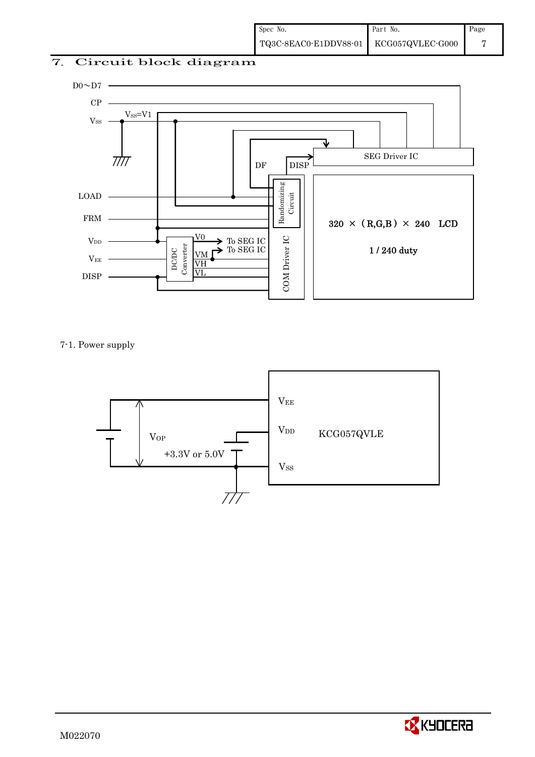## 7. Circuit block diagram



7-1. Power supply



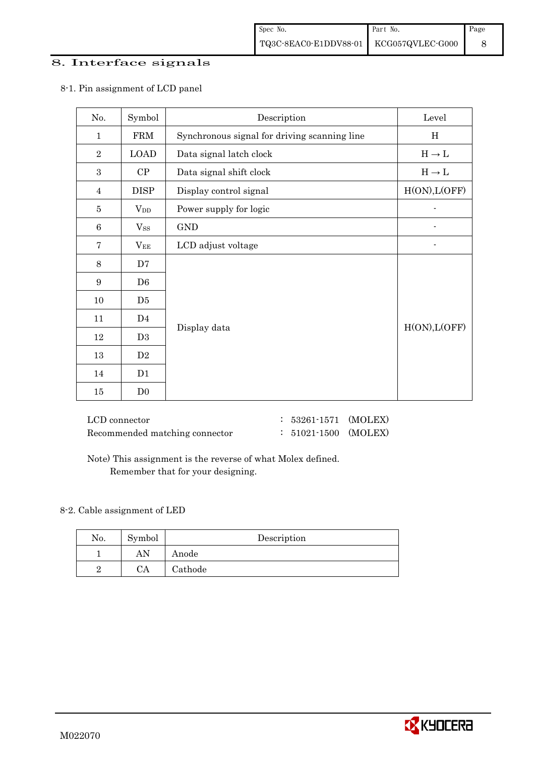#### 8. Interface signals

| No.              | Symbol         | Description                                  | Level             |
|------------------|----------------|----------------------------------------------|-------------------|
| $\mathbf{1}$     | <b>FRM</b>     | Synchronous signal for driving scanning line | H                 |
| $\overline{2}$   | <b>LOAD</b>    | Data signal latch clock                      | $H \rightarrow L$ |
| $\boldsymbol{3}$ | CP             | Data signal shift clock                      | $H\to L$          |
| 4                | <b>DISP</b>    | Display control signal                       | H(ON), L(OFF)     |
| 5                | $V_{DD}$       | Power supply for logic                       |                   |
| 6                | $V_{SS}$       | <b>GND</b>                                   |                   |
| 7                | $V_{EE}$       | LCD adjust voltage                           |                   |
| 8                | D7             |                                              |                   |
| 9                | D <sub>6</sub> |                                              |                   |
| 10               | D5             |                                              |                   |
| 11               | D <sub>4</sub> |                                              |                   |
| 12               | D <sub>3</sub> | Display data                                 | H(ON), L(OFF)     |
| 13               | D2             |                                              |                   |
| 14               | D1             |                                              |                   |
| 15               | D <sub>0</sub> |                                              |                   |

#### 8-1. Pin assignment of LCD panel

| LCD connector                  |
|--------------------------------|
| Recommended matching connector |

: 53261-1571 (MOLEX) : 51021-1500 (MOLEX)

 Note) This assignment is the reverse of what Molex defined. Remember that for your designing.

#### 8-2. Cable assignment of LED

| No. | Symbol | Description |
|-----|--------|-------------|
|     | AN     | Anode       |
|     | CA     | Cathode     |

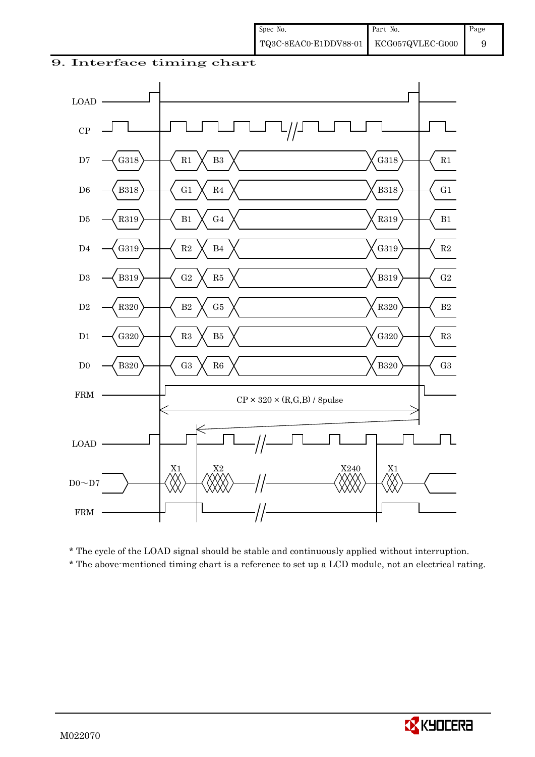#### 9. Interface timing chart



\* The cycle of the LOAD signal should be stable and continuously applied without interruption.

\* The above-mentioned timing chart is a reference to set up a LCD module, not an electrical rating.

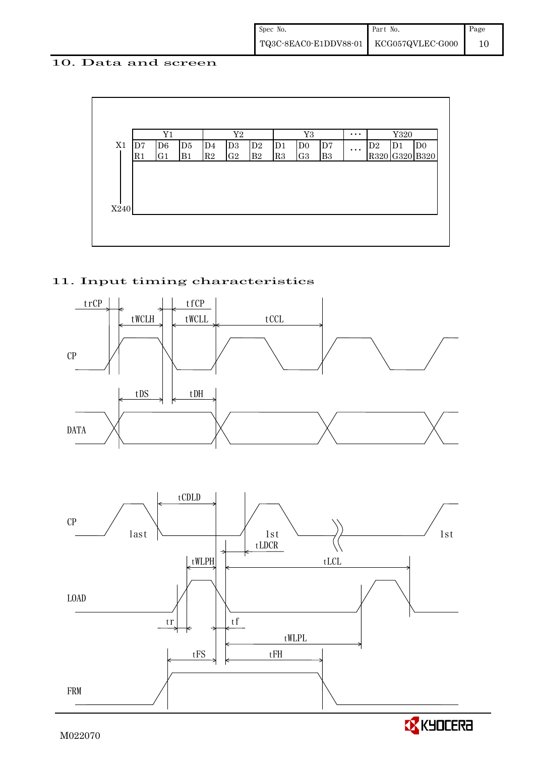#### 10. Data and screen



## 11. Input timing characteristics



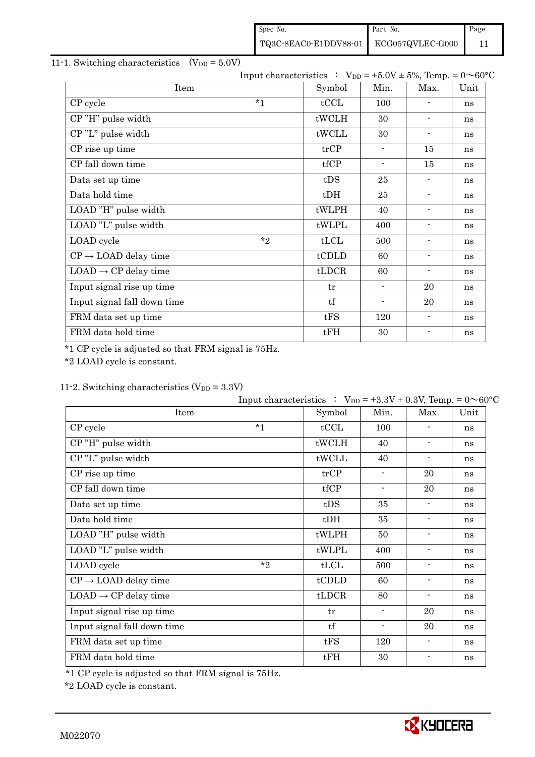| Spec No.                               | Part No. | Page |
|----------------------------------------|----------|------|
| TQ3C-8EAC0-E1DDV88-01 KCG057QVLEC-G000 |          |      |

## 11-1. Switching characteristics  $(V_{DD} = 5.0V)$

|                                  |        | Input characteristics : $V_{DD} = +5.0V \pm 5\%$ , Temp. = $0 \sim 60^{\circ}C$ |                          |                          |    |
|----------------------------------|--------|---------------------------------------------------------------------------------|--------------------------|--------------------------|----|
| Item                             | Symbol | Min.                                                                            | Max.                     | Unit                     |    |
| CP cycle                         | $*1$   | tCCL                                                                            | 100                      |                          | ns |
| CP"H" pulse width                |        | tWCLH                                                                           | 30                       | $\overline{\phantom{a}}$ | ns |
| CP"L" pulse width                |        | tWCLL                                                                           | 30                       | $\overline{\phantom{a}}$ | ns |
| CP rise up time                  |        | trCP                                                                            | $\sim$                   | 15                       | ns |
| CP fall down time                |        | tfCP                                                                            | $\overline{\phantom{a}}$ | 15                       | ns |
| Data set up time                 |        | tDS                                                                             | 25                       | $\overline{\phantom{a}}$ | ns |
| Data hold time                   |        | $t$ DH                                                                          | 25                       | $\overline{\phantom{a}}$ | ns |
| LOAD "H" pulse width             |        | tWLPH                                                                           | 40                       | $\blacksquare$           | ns |
| LOAD "L" pulse width             |        | tWLPL                                                                           | 400                      | $\blacksquare$           | ns |
| LOAD cycle                       | $*$ ?  | tLCL                                                                            | 500                      | $\overline{\phantom{a}}$ | ns |
| $CP \rightarrow$ LOAD delay time |        | tCDLD                                                                           | 60                       | $\overline{\phantom{a}}$ | ns |
| $LOAD \rightarrow CP$ delay time |        | tLDCR                                                                           | 60                       | $\blacksquare$           | ns |
| Input signal rise up time        |        | tr                                                                              | $\overline{\phantom{0}}$ | 20                       | ns |
| Input signal fall down time      |        | tf                                                                              | -                        | 20                       | ns |
| FRM data set up time             |        | tFS                                                                             | 120                      | $\blacksquare$           | ns |
| FRM data hold time               |        | tFH                                                                             | 30                       | $\overline{\phantom{a}}$ | ns |

\*1 CP cycle is adjusted so that FRM signal is 75Hz.

\*2 LOAD cycle is constant.

## 11-2. Switching characteristics  $(V_{DD} = 3.3V)$

|                                  | Input characteristics : $V_{DD} = +3.3V \pm 0.3V$ , Temp. = $0 \sim 60^{\circ}C$ |                |                          |                          |    |
|----------------------------------|----------------------------------------------------------------------------------|----------------|--------------------------|--------------------------|----|
| Item                             | Symbol                                                                           | Min.           | Max.                     | Unit                     |    |
| CP cycle                         | $*1$                                                                             | tCCL           | 100                      |                          | ns |
| CP"H" pulse width                |                                                                                  | tWCLH          | 40                       | $\overline{\phantom{a}}$ | ns |
| CP"L" pulse width                |                                                                                  | tWCLL          | 40                       | $\blacksquare$           | ns |
| CP rise up time                  |                                                                                  | trCP           | $\overline{\phantom{a}}$ | 20                       | ns |
| CP fall down time                |                                                                                  | tfCP           | $\overline{\phantom{a}}$ | 20                       | ns |
| Data set up time                 |                                                                                  | tDS            | 35                       | $\overline{\phantom{a}}$ | ns |
| Data hold time                   |                                                                                  | $t$ DH         | 35                       | $\blacksquare$           | ns |
| LOAD "H" pulse width             |                                                                                  | tWLPH          | 50                       | $\overline{\phantom{a}}$ | ns |
| LOAD "L" pulse width             |                                                                                  | tWLPL          | 400                      | $\blacksquare$           | ns |
| LOAD cycle                       | $*_{2}$                                                                          | tLCL           | 500                      | $\overline{\phantom{a}}$ | ns |
| $CP \rightarrow$ LOAD delay time |                                                                                  | tCDLD          | 60                       | $\overline{\phantom{a}}$ | ns |
| $LOAD \rightarrow CP$ delay time |                                                                                  | $t\text{LDCR}$ | 80                       | $\overline{\phantom{a}}$ | ns |
| Input signal rise up time        |                                                                                  | tr             | $\blacksquare$           | 20                       | ns |
| Input signal fall down time      |                                                                                  | tf             | $\overline{\phantom{a}}$ | 20                       | ns |
| FRM data set up time             |                                                                                  | tFS            | 120                      | $\blacksquare$           | ns |
| FRM data hold time               |                                                                                  | tFH            | 30                       | $\overline{a}$           | ns |

\*1 CP cycle is adjusted so that FRM signal is 75Hz.

\*2 LOAD cycle is constant.

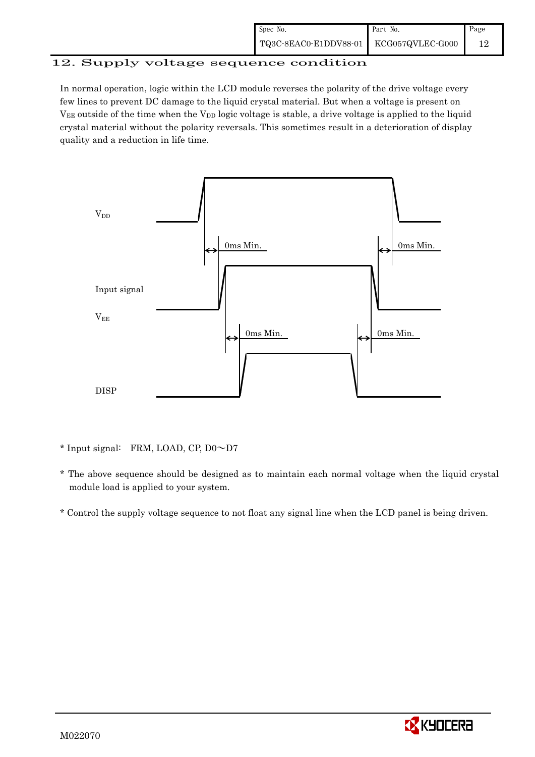### 12. Supply voltage sequence condition

In normal operation, logic within the LCD module reverses the polarity of the drive voltage every few lines to prevent DC damage to the liquid crystal material. But when a voltage is present on  $V_{EE}$  outside of the time when the  $V_{DD}$  logic voltage is stable, a drive voltage is applied to the liquid crystal material without the polarity reversals. This sometimes result in a deterioration of display quality and a reduction in life time.



\* Input signal: FRM, LOAD, CP, D0~D7

- \* The above sequence should be designed as to maintain each normal voltage when the liquid crystal module load is applied to your system.
- \* Control the supply voltage sequence to not float any signal line when the LCD panel is being driven.

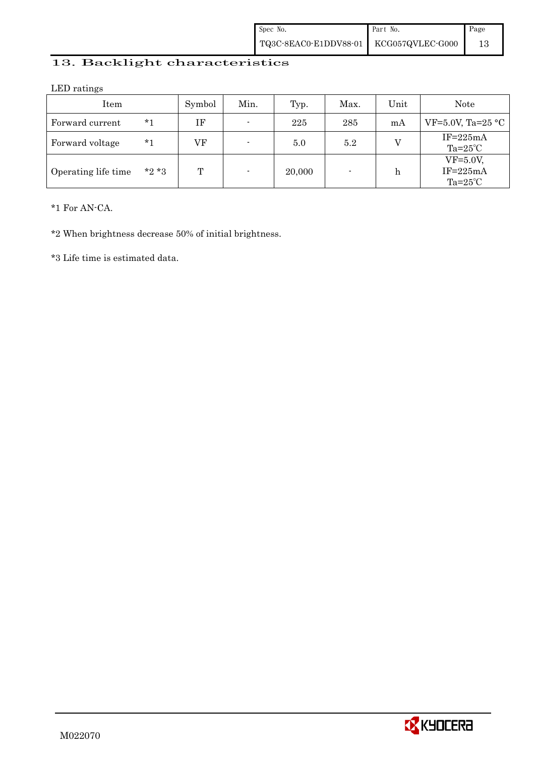## 13. Backlight characteristics

LED ratings

| Item                |        | Symbol | Min.                     | Typ.   | Max. | Unit | Note                                          |
|---------------------|--------|--------|--------------------------|--------|------|------|-----------------------------------------------|
| Forward current     | $*1$   | ΙF     | $\overline{\phantom{a}}$ | 225    | 285  | mA   | VF=5.0V, Ta=25 $\textdegree$ C                |
| Forward voltage     | *1     | VF     | $\blacksquare$           | 5.0    | 5.2  |      | $IF = 225mA$<br>$Ta=25^{\circ}C$              |
| Operating life time | $*2*3$ | Т      | $\blacksquare$           | 20,000 |      | h    | $VF=5.0V$ ,<br>$IF=225mA$<br>$Ta=25^{\circ}C$ |

\*1 For AN-CA.

\*2 When brightness decrease 50% of initial brightness.

\*3 Life time is estimated data.

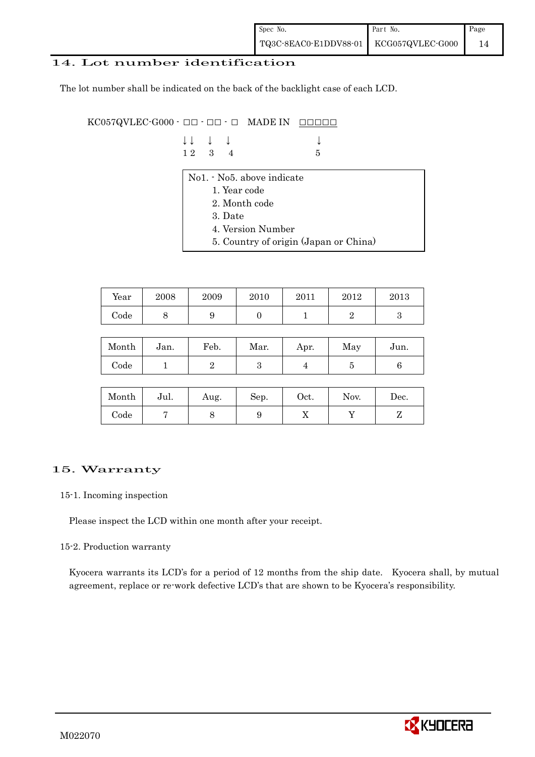#### 14. Lot number identification

The lot number shall be indicated on the back of the backlight case of each LCD.

 $KCO57QV LEC-G000 \cdot \Box \Box \cdot \Box \Box \cdot \Box$  MADE IN  $\Box \Box \Box \Box \Box$ 

| $\downarrow \downarrow \quad \downarrow \quad \downarrow$ |  | $\downarrow$ |
|-----------------------------------------------------------|--|--------------|
| $12 \quad 3 \quad 4$                                      |  | $-5$         |

- No1. No5. above indicate
	- 1. Year code
	- 2. Month code
	- 3. Date
	- 4. Version Number
	- 5. Country of origin (Japan or China)

| Year | 2008 | 2009 | 2010 | 2011 | 2012 | 2013 |
|------|------|------|------|------|------|------|
| Code | ◡    |      |      |      |      |      |

| Month | Jan. | Feb. | Mar. | Apr. | May | Jun. |
|-------|------|------|------|------|-----|------|
| Code  |      |      | ౿    |      |     |      |

| Month      | Jul. | Aug. | Sep. | Oct. | Nov. | Dec. |
|------------|------|------|------|------|------|------|
| $\rm Code$ |      |      | υ    | 77   |      |      |

#### 15. Warranty

#### 15-1. Incoming inspection

Please inspect the LCD within one month after your receipt.

#### 15-2. Production warranty

 Kyocera warrants its LCD's for a period of 12 months from the ship date. Kyocera shall, by mutual agreement, replace or re-work defective LCD's that are shown to be Kyocera's responsibility.

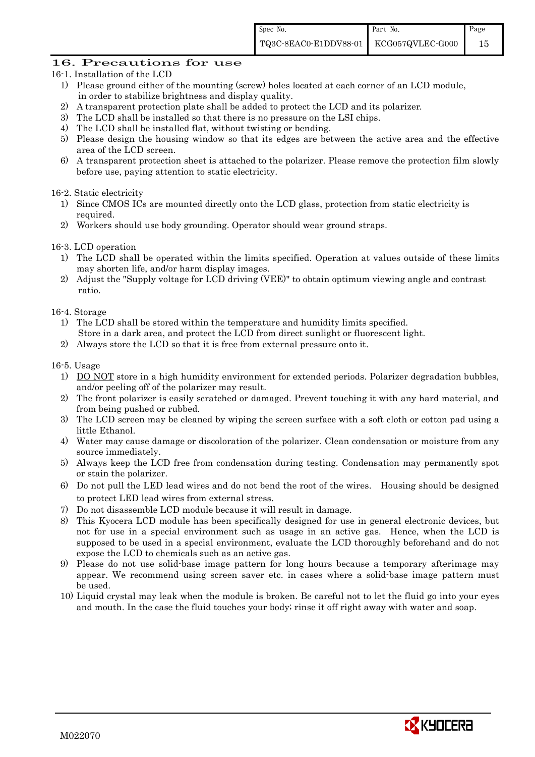### 16. Precautions for use

- 16-1. Installation of the LCD
	- 1) Please ground either of the mounting (screw) holes located at each corner of an LCD module, in order to stabilize brightness and display quality.
	- 2) A transparent protection plate shall be added to protect the LCD and its polarizer.
	- 3) The LCD shall be installed so that there is no pressure on the LSI chips.
	- 4) The LCD shall be installed flat, without twisting or bending.
	- 5) Please design the housing window so that its edges are between the active area and the effective area of the LCD screen.
	- 6) A transparent protection sheet is attached to the polarizer. Please remove the protection film slowly before use, paying attention to static electricity.

16-2. Static electricity

- 1) Since CMOS ICs are mounted directly onto the LCD glass, protection from static electricity is required.
- 2) Workers should use body grounding. Operator should wear ground straps.

16-3. LCD operation

- 1) The LCD shall be operated within the limits specified. Operation at values outside of these limits may shorten life, and/or harm display images.
- 2) Adjust the "Supply voltage for LCD driving (VEE)" to obtain optimum viewing angle and contrast ratio.

16-4. Storage

- 1) The LCD shall be stored within the temperature and humidity limits specified. Store in a dark area, and protect the LCD from direct sunlight or fluorescent light.
- 2) Always store the LCD so that it is free from external pressure onto it.

16-5. Usage

- 1) DO NOT store in a high humidity environment for extended periods. Polarizer degradation bubbles, and/or peeling off of the polarizer may result.
- 2) The front polarizer is easily scratched or damaged. Prevent touching it with any hard material, and from being pushed or rubbed.
- 3) The LCD screen may be cleaned by wiping the screen surface with a soft cloth or cotton pad using a little Ethanol.
- 4) Water may cause damage or discoloration of the polarizer. Clean condensation or moisture from any source immediately.
- 5) Always keep the LCD free from condensation during testing. Condensation may permanently spot or stain the polarizer.
- 6) Do not pull the LED lead wires and do not bend the root of the wires. Housing should be designed to protect LED lead wires from external stress.
- 7) Do not disassemble LCD module because it will result in damage.
- 8) This Kyocera LCD module has been specifically designed for use in general electronic devices, but not for use in a special environment such as usage in an active gas. Hence, when the LCD is supposed to be used in a special environment, evaluate the LCD thoroughly beforehand and do not expose the LCD to chemicals such as an active gas.
- 9) Please do not use solid-base image pattern for long hours because a temporary afterimage may appear. We recommend using screen saver etc. in cases where a solid-base image pattern must be used.
- 10) Liquid crystal may leak when the module is broken. Be careful not to let the fluid go into your eyes and mouth. In the case the fluid touches your body; rinse it off right away with water and soap.

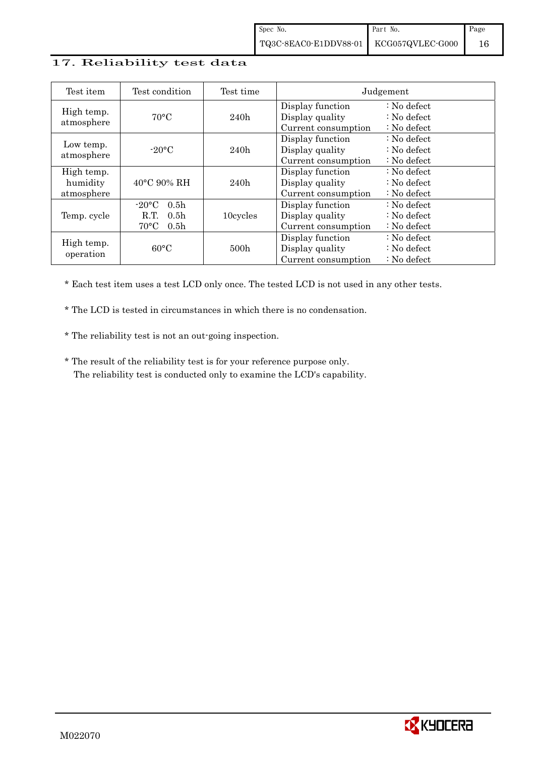### 17. Reliability test data

| Test item                            | Test condition                                                                                       | Test time        | Judgement                                                  |                                                                            |  |  |
|--------------------------------------|------------------------------------------------------------------------------------------------------|------------------|------------------------------------------------------------|----------------------------------------------------------------------------|--|--|
| High temp.<br>atmosphere             | $70^{\circ}$ C                                                                                       | 240h             | Display function<br>Display quality<br>Current consumption | $: No$ defect<br>$\therefore$ No defect<br>$\therefore$ No defect          |  |  |
| Low temp.<br>atmosphere              | $-20$ °C                                                                                             | 240h             | Display function<br>Display quality<br>Current consumption | $\therefore$ No defect<br>: No defect<br>: No defect                       |  |  |
| High temp.<br>humidity<br>atmosphere | $40^{\circ}$ C 90% RH                                                                                | 240h             | Display function<br>Display quality<br>Current consumption | $\therefore$ No defect<br>$\therefore$ No defect<br>$\therefore$ No defect |  |  |
| Temp. cycle                          | $-20\degree C$<br>0.5 <sub>h</sub><br>R.T.<br>0.5 <sub>h</sub><br>$70^{\circ}$ C<br>0.5 <sub>h</sub> | 10cycles         | Display function<br>Display quality<br>Current consumption | $\therefore$ No defect<br>$\therefore$ No defect<br>$\therefore$ No defect |  |  |
| High temp.<br>operation              | $60^{\circ}$ C                                                                                       | 500 <sub>h</sub> | Display function<br>Display quality<br>Current consumption | $\therefore$ No defect<br>$\therefore$ No defect<br>$\therefore$ No defect |  |  |

\* Each test item uses a test LCD only once. The tested LCD is not used in any other tests.

\* The LCD is tested in circumstances in which there is no condensation.

\* The reliability test is not an out-going inspection.

 \* The result of the reliability test is for your reference purpose only. The reliability test is conducted only to examine the LCD's capability.

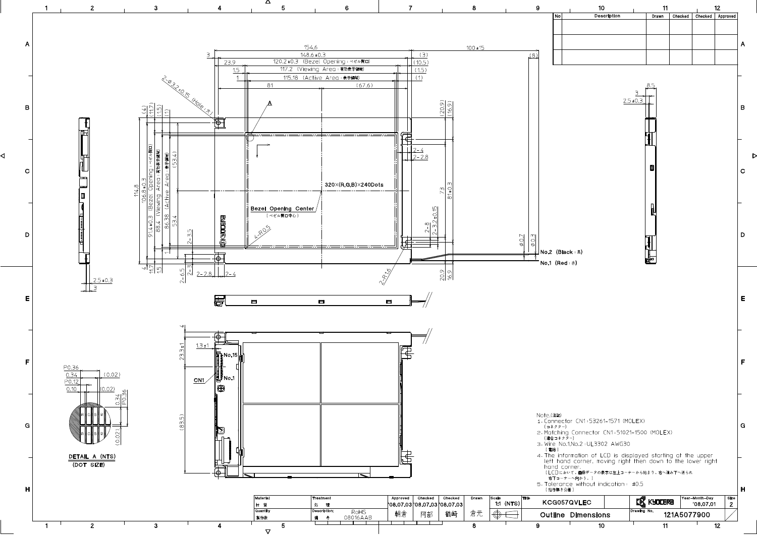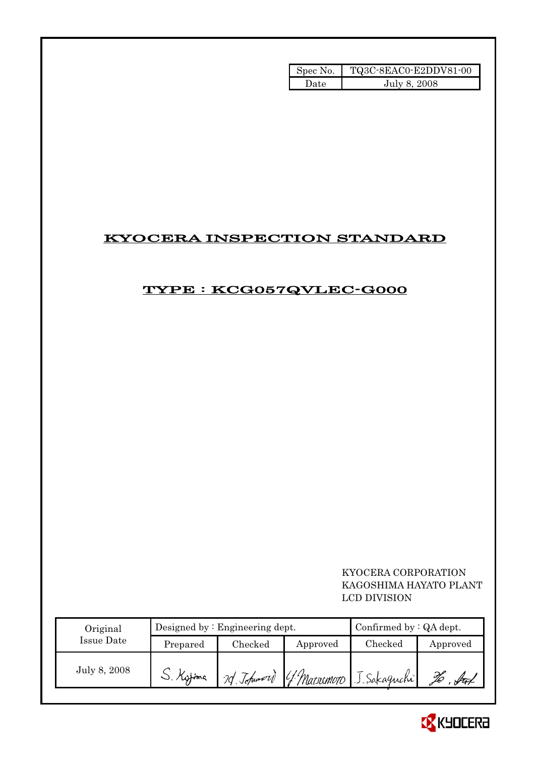| Spec No. | TQ3C-8EAC0-E2DDV81-00 |
|----------|-----------------------|
| 'Jate    | July 8, 2008          |

## KYOCERA INSPECTION STANDARD

## TYPE : KCG057QVLEC-G000

## KYOCERA CORPORATION KAGOSHIMA HAYATO PLANT LCD DIVISION

| Original     |           | Designed by $:$ Engineering dept. | Confirmed by $:QA$ dept. |                                      |          |
|--------------|-----------|-----------------------------------|--------------------------|--------------------------------------|----------|
| Issue Date   | Prepared  | Checked                           | Approved                 | Checked                              | Approved |
| July 8, 2008 | J. Kyjime |                                   |                          | 20 Johnson G. Macromoro J. Sakaguchi |          |

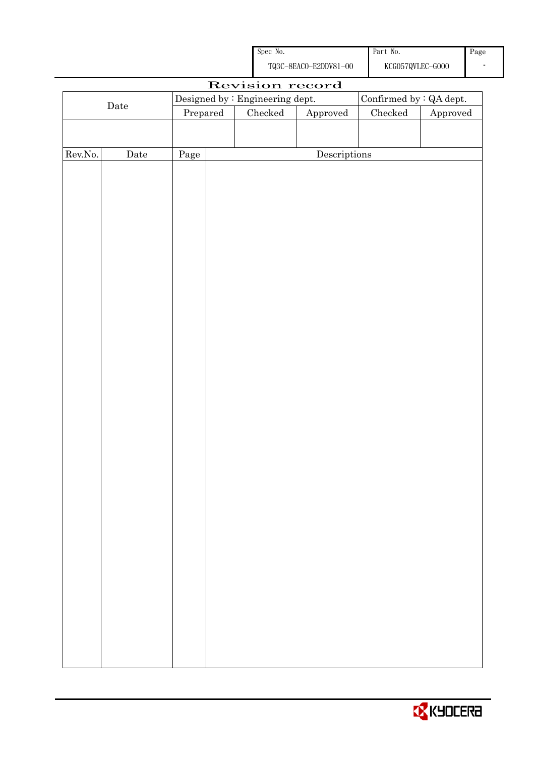

| Revision record |             |          |  |                                 |                                      |                                |          |  |
|-----------------|-------------|----------|--|---------------------------------|--------------------------------------|--------------------------------|----------|--|
| $\rm{Date}$     |             |          |  | Designed by : Engineering dept. |                                      | Confirmed by $\colon$ QA dept. |          |  |
|                 |             | Prepared |  | ${\it Checked}$<br>Approved     |                                      | Checked                        | Approved |  |
|                 |             |          |  |                                 |                                      |                                |          |  |
|                 |             |          |  |                                 |                                      |                                |          |  |
| Rev.No.         | $\rm{Date}$ | Page     |  |                                 | $\label{eq:2} \textbf{Descriptions}$ |                                |          |  |
|                 |             |          |  |                                 |                                      |                                |          |  |
|                 |             |          |  |                                 |                                      |                                |          |  |
|                 |             |          |  |                                 |                                      |                                |          |  |
|                 |             |          |  |                                 |                                      |                                |          |  |
|                 |             |          |  |                                 |                                      |                                |          |  |
|                 |             |          |  |                                 |                                      |                                |          |  |
|                 |             |          |  |                                 |                                      |                                |          |  |
|                 |             |          |  |                                 |                                      |                                |          |  |
|                 |             |          |  |                                 |                                      |                                |          |  |
|                 |             |          |  |                                 |                                      |                                |          |  |
|                 |             |          |  |                                 |                                      |                                |          |  |
|                 |             |          |  |                                 |                                      |                                |          |  |
|                 |             |          |  |                                 |                                      |                                |          |  |
|                 |             |          |  |                                 |                                      |                                |          |  |
|                 |             |          |  |                                 |                                      |                                |          |  |
|                 |             |          |  |                                 |                                      |                                |          |  |
|                 |             |          |  |                                 |                                      |                                |          |  |
|                 |             |          |  |                                 |                                      |                                |          |  |
|                 |             |          |  |                                 |                                      |                                |          |  |
|                 |             |          |  |                                 |                                      |                                |          |  |
|                 |             |          |  |                                 |                                      |                                |          |  |
|                 |             |          |  |                                 |                                      |                                |          |  |
|                 |             |          |  |                                 |                                      |                                |          |  |
|                 |             |          |  |                                 |                                      |                                |          |  |
|                 |             |          |  |                                 |                                      |                                |          |  |
|                 |             |          |  |                                 |                                      |                                |          |  |
|                 |             |          |  |                                 |                                      |                                |          |  |
|                 |             |          |  |                                 |                                      |                                |          |  |
|                 |             |          |  |                                 |                                      |                                |          |  |
|                 |             |          |  |                                 |                                      |                                |          |  |
|                 |             |          |  |                                 |                                      |                                |          |  |
|                 |             |          |  |                                 |                                      |                                |          |  |
|                 |             |          |  |                                 |                                      |                                |          |  |
|                 |             |          |  |                                 |                                      |                                |          |  |
|                 |             |          |  |                                 |                                      |                                |          |  |
|                 |             |          |  |                                 |                                      |                                |          |  |

Spec No.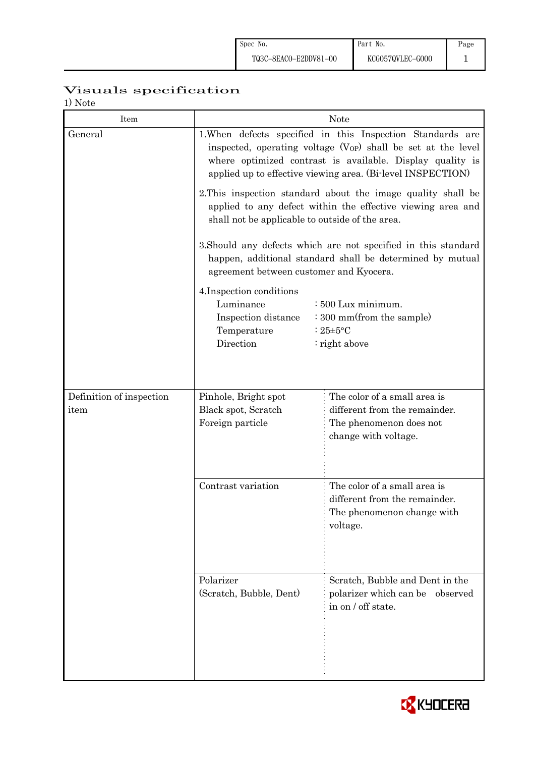# Visuals specification

| Item                             | <b>Note</b>                                                                                                                                                                                                                                                 |                                                                                                         |  |  |  |  |  |
|----------------------------------|-------------------------------------------------------------------------------------------------------------------------------------------------------------------------------------------------------------------------------------------------------------|---------------------------------------------------------------------------------------------------------|--|--|--|--|--|
| General                          | 1. When defects specified in this Inspection Standards are<br>inspected, operating voltage $(V_{OP})$ shall be set at the level<br>where optimized contrast is available. Display quality is<br>applied up to effective viewing area. (Bi-level INSPECTION) |                                                                                                         |  |  |  |  |  |
|                                  | 2. This inspection standard about the image quality shall be<br>applied to any defect within the effective viewing area and<br>shall not be applicable to outside of the area.                                                                              |                                                                                                         |  |  |  |  |  |
|                                  | 3. Should any defects which are not specified in this standard<br>happen, additional standard shall be determined by mutual<br>agreement between customer and Kyocera.                                                                                      |                                                                                                         |  |  |  |  |  |
|                                  | : 500 Lux minimum.<br>$\cdot$ 300 mm(from the sample)<br>: $25 \pm 5$ °C<br>$:$ right above                                                                                                                                                                 |                                                                                                         |  |  |  |  |  |
|                                  |                                                                                                                                                                                                                                                             | The color of a small area is                                                                            |  |  |  |  |  |
| Definition of inspection<br>item | Pinhole, Bright spot<br>Black spot, Scratch<br>Foreign particle                                                                                                                                                                                             | different from the remainder.<br>The phenomenon does not<br>change with voltage.                        |  |  |  |  |  |
|                                  | Contrast variation                                                                                                                                                                                                                                          | The color of a small area is<br>different from the remainder.<br>The phenomenon change with<br>voltage. |  |  |  |  |  |
|                                  | Polarizer<br>(Scratch, Bubble, Dent)                                                                                                                                                                                                                        | Scratch, Bubble and Dent in the<br>polarizer which can be observed<br>in on / off state.                |  |  |  |  |  |

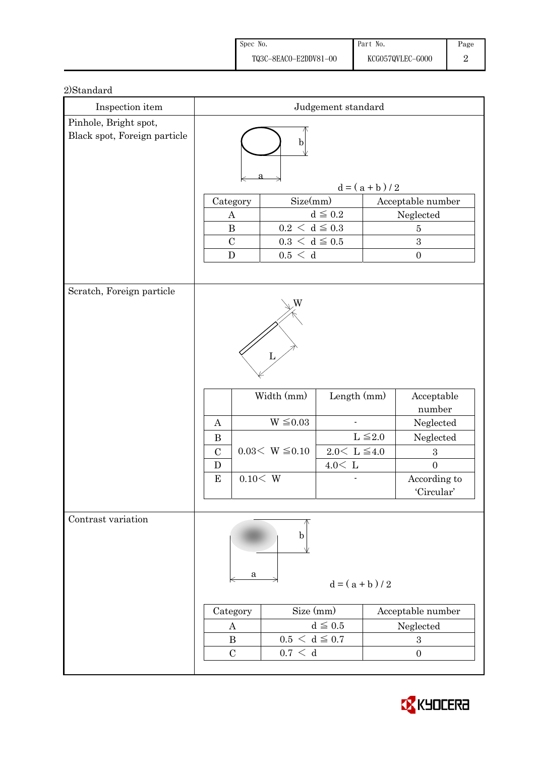| Spec No.              | Part No.         | Page |
|-----------------------|------------------|------|
| TQ3C-8EACO-E2DDV81-00 | KCG057QVLEC-G000 |      |

| Inspection item                                       | $\it{Judgement}$ $\it standard$                                                                        |                                                                |                                                      |                                     |              |                                                            |
|-------------------------------------------------------|--------------------------------------------------------------------------------------------------------|----------------------------------------------------------------|------------------------------------------------------|-------------------------------------|--------------|------------------------------------------------------------|
| Pinhole, Bright spot,<br>Black spot, Foreign particle | b                                                                                                      |                                                                |                                                      |                                     |              |                                                            |
|                                                       | $d = (a + b) / 2$                                                                                      |                                                                |                                                      |                                     |              |                                                            |
|                                                       | Size(mm)<br>Acceptable number<br>Category                                                              |                                                                |                                                      |                                     |              |                                                            |
|                                                       |                                                                                                        | $\boldsymbol{A}$                                               |                                                      | $d\leqq0.2$                         | Neglected    |                                                            |
|                                                       | $0.2\,<\,\mathrm{d}\leq0.3$<br>$\, {\bf B}$<br>$\bf 5$<br>$0.3\,<\,\mathrm{d}\leq0.5$<br>$\mathcal{C}$ |                                                                |                                                      |                                     |              |                                                            |
|                                                       |                                                                                                        | ${\bf D}$                                                      | $0.5\,<\,$ d                                         |                                     |              | $\sqrt{3}$<br>$\boldsymbol{0}$                             |
|                                                       |                                                                                                        |                                                                |                                                      |                                     |              |                                                            |
| Scratch, Foreign particle                             |                                                                                                        |                                                                |                                                      |                                     |              |                                                            |
|                                                       | Width (mm)<br>$\mbox{Length}\ (\mbox{mm})$<br>Acceptable<br>number                                     |                                                                |                                                      |                                     |              |                                                            |
|                                                       | $\boldsymbol{A}$                                                                                       |                                                                | $W \leq 0.03$                                        |                                     |              | Neglected                                                  |
|                                                       | $\bf{B}$                                                                                               |                                                                | $0.03 < W \leq 0.10$                                 |                                     | $L \leq 2.0$ | Neglected                                                  |
|                                                       | $\mathcal{C}$<br>$\mathbf D$                                                                           |                                                                |                                                      | $2.0 < L \leq 4.0$<br>$4.0\rm <\ L$ |              | $\sqrt{3}$<br>$\boldsymbol{0}$                             |
|                                                       | $\bf{E}$                                                                                               | 0.10 < W                                                       |                                                      |                                     |              | According to<br>'Circular'                                 |
| Contrast variation                                    |                                                                                                        | a<br>Category<br>$\boldsymbol{A}$<br>$\bf{B}$<br>$\mathcal{C}$ | b<br>Size (mm)<br>$0.5 < d \leq 0.7$<br>$0.7\,<\,$ d | $d = (a + b)/2$<br>$d \leqq 0.5$    |              | Acceptable number<br>${\tt Neglected}$<br>$\boldsymbol{3}$ |
|                                                       |                                                                                                        |                                                                |                                                      |                                     |              | $\boldsymbol{0}$                                           |